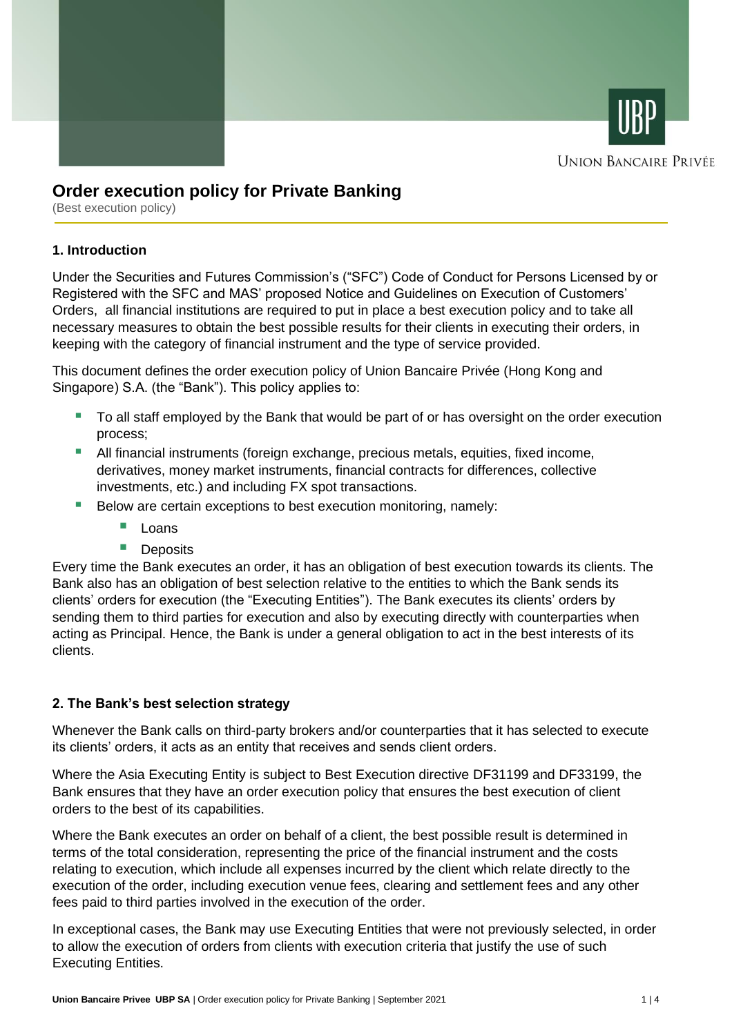



# **Order execution policy for Private Banking**

(Best execution policy)

## **1. Introduction**

Under the Securities and Futures Commission's ("SFC") Code of Conduct for Persons Licensed by or Registered with the SFC and MAS' proposed Notice and Guidelines on Execution of Customers' Orders, all financial institutions are required to put in place a best execution policy and to take all necessary measures to obtain the best possible results for their clients in executing their orders, in keeping with the category of financial instrument and the type of service provided.

This document defines the order execution policy of Union Bancaire Privée (Hong Kong and Singapore) S.A. (the "Bank"). This policy applies to:

- To all staff employed by the Bank that would be part of or has oversight on the order execution process;
- **E** All financial instruments (foreign exchange, precious metals, equities, fixed income, derivatives, money market instruments, financial contracts for differences, collective investments, etc.) and including FX spot transactions.
- Below are certain exceptions to best execution monitoring, namely:
	- Loans
	- Deposits

Every time the Bank executes an order, it has an obligation of best execution towards its clients. The Bank also has an obligation of best selection relative to the entities to which the Bank sends its clients' orders for execution (the "Executing Entities"). The Bank executes its clients' orders by sending them to third parties for execution and also by executing directly with counterparties when acting as Principal. Hence, the Bank is under a general obligation to act in the best interests of its clients.

## **2. The Bank's best selection strategy**

Whenever the Bank calls on third-party brokers and/or counterparties that it has selected to execute its clients' orders, it acts as an entity that receives and sends client orders.

Where the Asia Executing Entity is subject to Best Execution directive DF31199 and DF33199, the Bank ensures that they have an order execution policy that ensures the best execution of client orders to the best of its capabilities.

Where the Bank executes an order on behalf of a client, the best possible result is determined in terms of the total consideration, representing the price of the financial instrument and the costs relating to execution, which include all expenses incurred by the client which relate directly to the execution of the order, including execution venue fees, clearing and settlement fees and any other fees paid to third parties involved in the execution of the order.

In exceptional cases, the Bank may use Executing Entities that were not previously selected, in order to allow the execution of orders from clients with execution criteria that justify the use of such Executing Entities.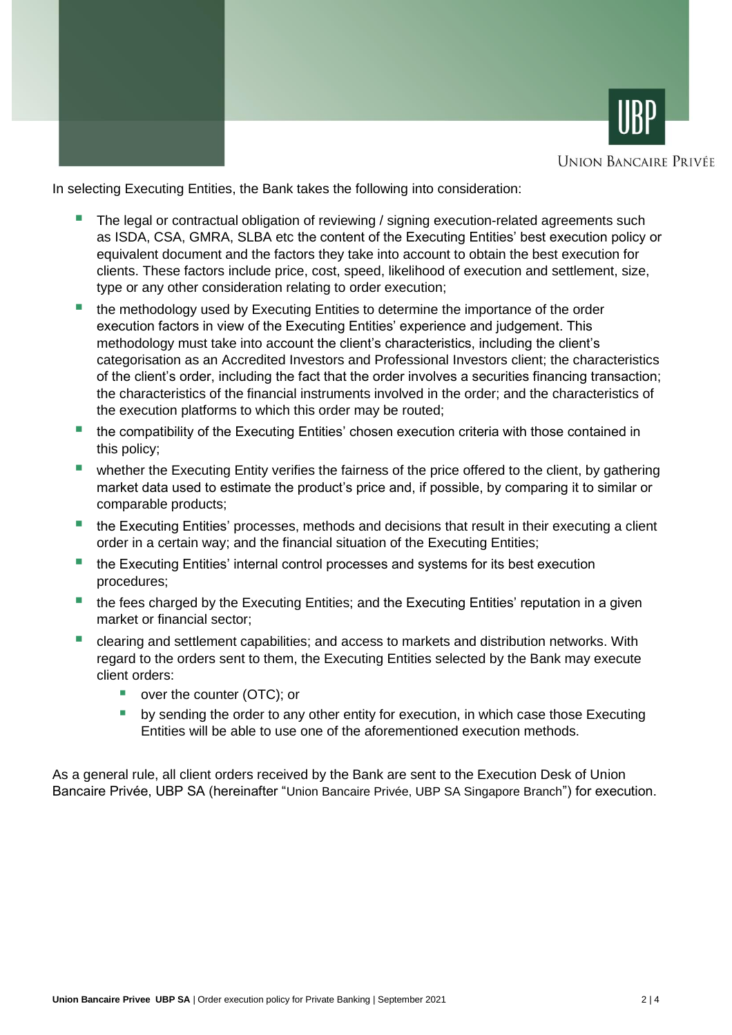



**UNION BANCAIRE PRIVÉE** 

In selecting Executing Entities, the Bank takes the following into consideration:

- The legal or contractual obligation of reviewing / signing execution-related agreements such as ISDA, CSA, GMRA, SLBA etc the content of the Executing Entities' best execution policy or equivalent document and the factors they take into account to obtain the best execution for clients. These factors include price, cost, speed, likelihood of execution and settlement, size, type or any other consideration relating to order execution;
- the methodology used by Executing Entities to determine the importance of the order execution factors in view of the Executing Entities' experience and judgement. This methodology must take into account the client's characteristics, including the client's categorisation as an Accredited Investors and Professional Investors client; the characteristics of the client's order, including the fact that the order involves a securities financing transaction; the characteristics of the financial instruments involved in the order; and the characteristics of the execution platforms to which this order may be routed;
- the compatibility of the Executing Entities' chosen execution criteria with those contained in this policy;
- **■** whether the Executing Entity verifies the fairness of the price offered to the client, by gathering market data used to estimate the product's price and, if possible, by comparing it to similar or comparable products;
- the Executing Entities' processes, methods and decisions that result in their executing a client order in a certain way; and the financial situation of the Executing Entities;
- the Executing Entities' internal control processes and systems for its best execution procedures;
- the fees charged by the Executing Entities; and the Executing Entities' reputation in a given market or financial sector;
- clearing and settlement capabilities; and access to markets and distribution networks. With regard to the orders sent to them, the Executing Entities selected by the Bank may execute client orders:
	- over the counter (OTC); or
	- **■** by sending the order to any other entity for execution, in which case those Executing Entities will be able to use one of the aforementioned execution methods.

As a general rule, all client orders received by the Bank are sent to the Execution Desk of Union Bancaire Privée, UBP SA (hereinafter "Union Bancaire Privée, UBP SA Singapore Branch") for execution.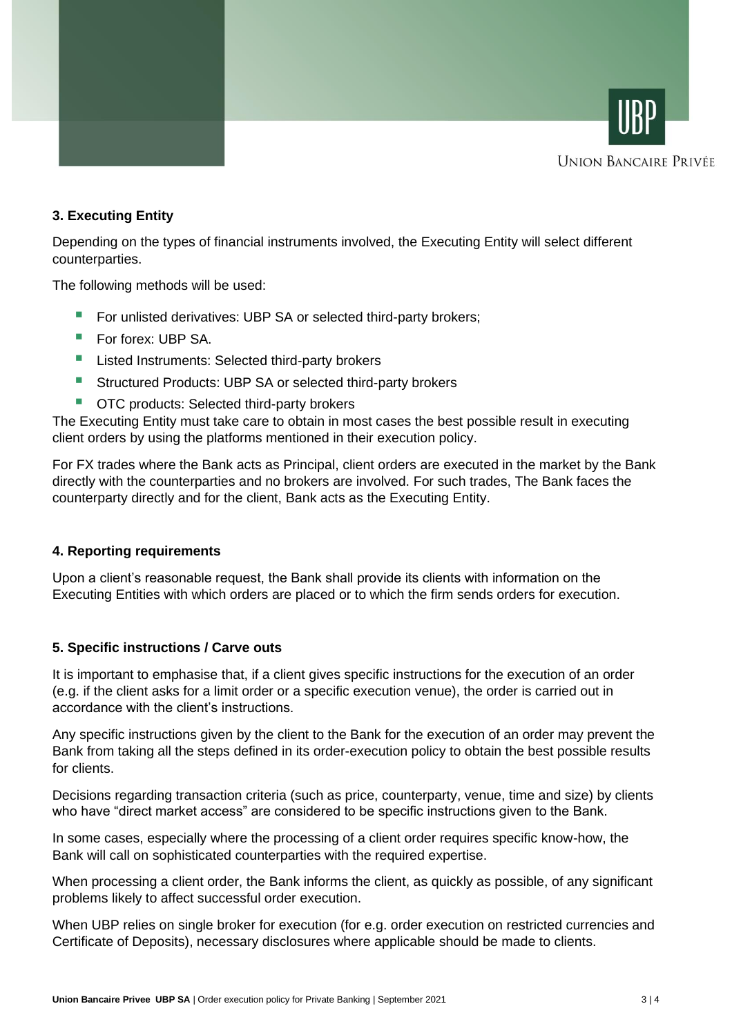



## **3. Executing Entity**

Depending on the types of financial instruments involved, the Executing Entity will select different counterparties.

The following methods will be used:

- For unlisted derivatives: UBP SA or selected third-party brokers;
- For forex: UBP SA.
- **E** Listed Instruments: Selected third-party brokers
- Structured Products: UBP SA or selected third-party brokers
- OTC products: Selected third-party brokers

The Executing Entity must take care to obtain in most cases the best possible result in executing client orders by using the platforms mentioned in their execution policy.

For FX trades where the Bank acts as Principal, client orders are executed in the market by the Bank directly with the counterparties and no brokers are involved. For such trades, The Bank faces the counterparty directly and for the client, Bank acts as the Executing Entity.

### **4. Reporting requirements**

Upon a client's reasonable request, the Bank shall provide its clients with information on the Executing Entities with which orders are placed or to which the firm sends orders for execution.

### **5. Specific instructions / Carve outs**

It is important to emphasise that, if a client gives specific instructions for the execution of an order (e.g. if the client asks for a limit order or a specific execution venue), the order is carried out in accordance with the client's instructions.

Any specific instructions given by the client to the Bank for the execution of an order may prevent the Bank from taking all the steps defined in its order-execution policy to obtain the best possible results for clients.

Decisions regarding transaction criteria (such as price, counterparty, venue, time and size) by clients who have "direct market access" are considered to be specific instructions given to the Bank.

In some cases, especially where the processing of a client order requires specific know-how, the Bank will call on sophisticated counterparties with the required expertise.

When processing a client order, the Bank informs the client, as quickly as possible, of any significant problems likely to affect successful order execution.

When UBP relies on single broker for execution (for e.g. order execution on restricted currencies and Certificate of Deposits), necessary disclosures where applicable should be made to clients.